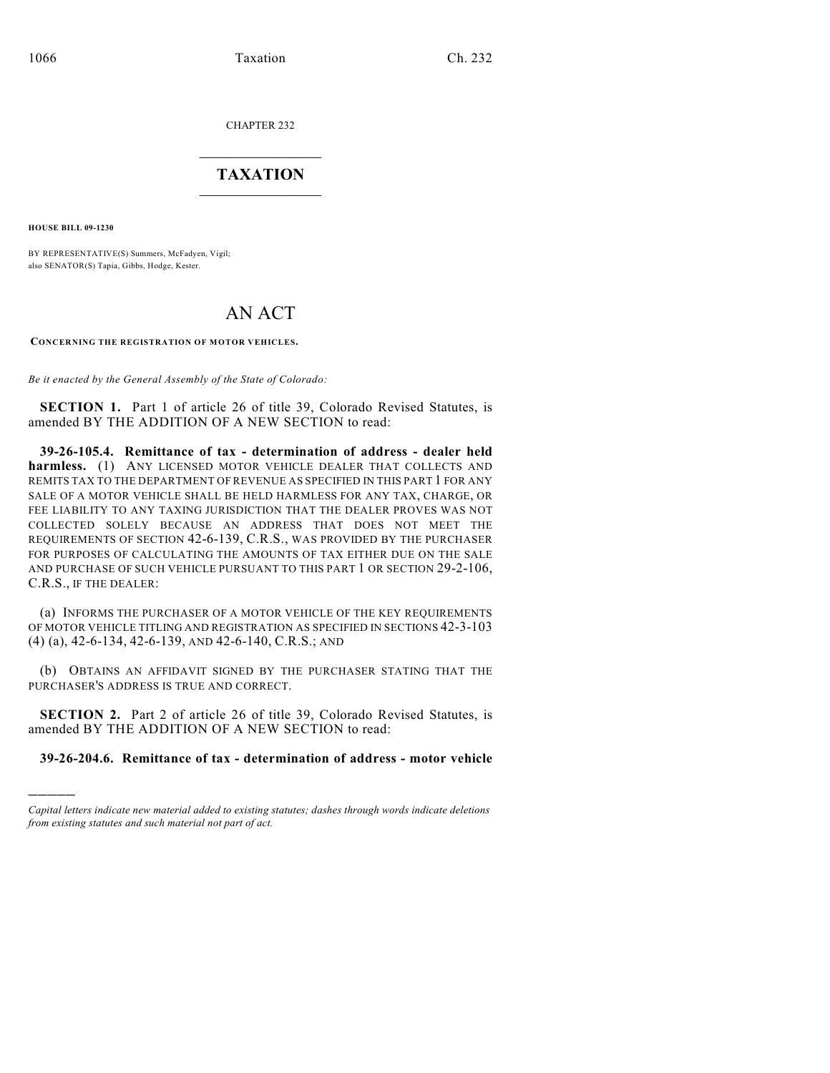CHAPTER 232

## $\overline{\phantom{a}}$  . The set of the set of the set of the set of the set of the set of the set of the set of the set of the set of the set of the set of the set of the set of the set of the set of the set of the set of the set o **TAXATION**  $\_$

**HOUSE BILL 09-1230**

)))))

BY REPRESENTATIVE(S) Summers, McFadyen, Vigil; also SENATOR(S) Tapia, Gibbs, Hodge, Kester.

## AN ACT

**CONCERNING THE REGISTRATION OF MOTOR VEHICLES.**

*Be it enacted by the General Assembly of the State of Colorado:*

**SECTION 1.** Part 1 of article 26 of title 39, Colorado Revised Statutes, is amended BY THE ADDITION OF A NEW SECTION to read:

**39-26-105.4. Remittance of tax - determination of address - dealer held harmless.** (1) ANY LICENSED MOTOR VEHICLE DEALER THAT COLLECTS AND REMITS TAX TO THE DEPARTMENT OF REVENUE AS SPECIFIED IN THIS PART 1 FOR ANY SALE OF A MOTOR VEHICLE SHALL BE HELD HARMLESS FOR ANY TAX, CHARGE, OR FEE LIABILITY TO ANY TAXING JURISDICTION THAT THE DEALER PROVES WAS NOT COLLECTED SOLELY BECAUSE AN ADDRESS THAT DOES NOT MEET THE REQUIREMENTS OF SECTION 42-6-139, C.R.S., WAS PROVIDED BY THE PURCHASER FOR PURPOSES OF CALCULATING THE AMOUNTS OF TAX EITHER DUE ON THE SALE AND PURCHASE OF SUCH VEHICLE PURSUANT TO THIS PART 1 OR SECTION 29-2-106, C.R.S., IF THE DEALER:

(a) INFORMS THE PURCHASER OF A MOTOR VEHICLE OF THE KEY REQUIREMENTS OF MOTOR VEHICLE TITLING AND REGISTRATION AS SPECIFIED IN SECTIONS 42-3-103 (4) (a), 42-6-134, 42-6-139, AND 42-6-140, C.R.S.; AND

(b) OBTAINS AN AFFIDAVIT SIGNED BY THE PURCHASER STATING THAT THE PURCHASER'S ADDRESS IS TRUE AND CORRECT.

**SECTION 2.** Part 2 of article 26 of title 39, Colorado Revised Statutes, is amended BY THE ADDITION OF A NEW SECTION to read:

**39-26-204.6. Remittance of tax - determination of address - motor vehicle**

*Capital letters indicate new material added to existing statutes; dashes through words indicate deletions from existing statutes and such material not part of act.*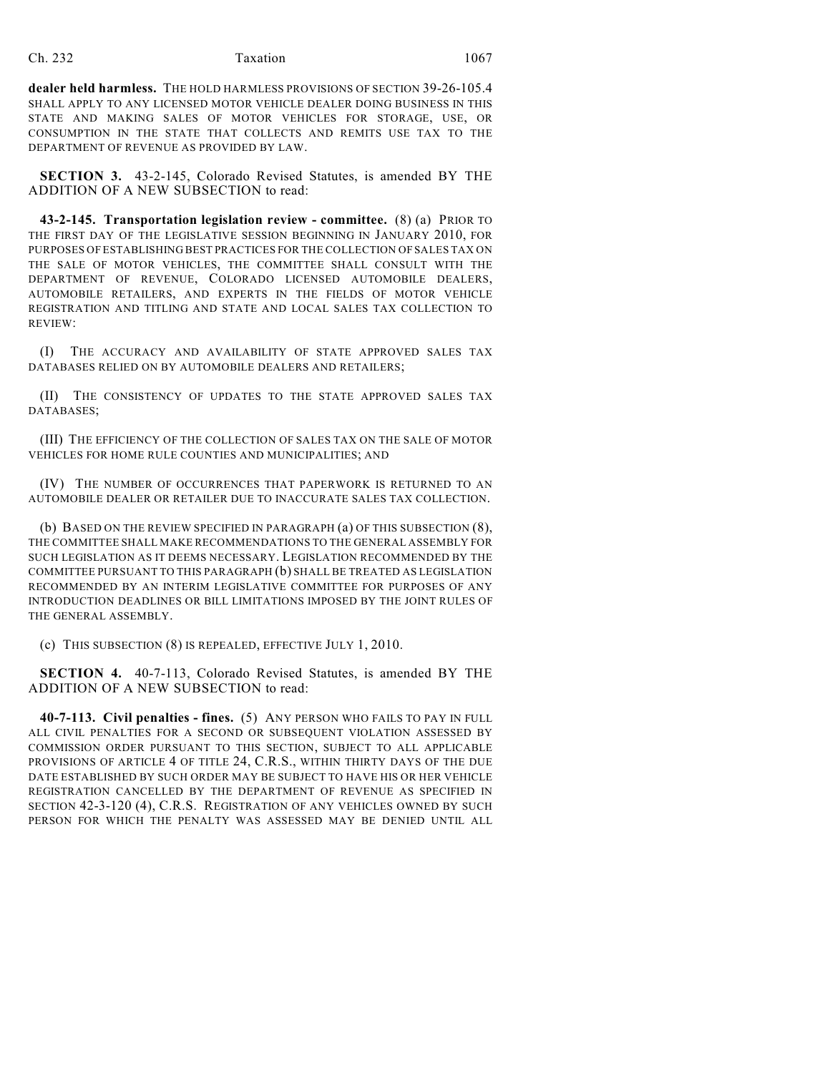**dealer held harmless.** THE HOLD HARMLESS PROVISIONS OF SECTION 39-26-105.4 SHALL APPLY TO ANY LICENSED MOTOR VEHICLE DEALER DOING BUSINESS IN THIS STATE AND MAKING SALES OF MOTOR VEHICLES FOR STORAGE, USE, OR CONSUMPTION IN THE STATE THAT COLLECTS AND REMITS USE TAX TO THE DEPARTMENT OF REVENUE AS PROVIDED BY LAW.

**SECTION 3.** 43-2-145, Colorado Revised Statutes, is amended BY THE ADDITION OF A NEW SUBSECTION to read:

**43-2-145. Transportation legislation review - committee.** (8) (a) PRIOR TO THE FIRST DAY OF THE LEGISLATIVE SESSION BEGINNING IN JANUARY 2010, FOR PURPOSES OF ESTABLISHING BEST PRACTICES FOR THE COLLECTION OF SALES TAX ON THE SALE OF MOTOR VEHICLES, THE COMMITTEE SHALL CONSULT WITH THE DEPARTMENT OF REVENUE, COLORADO LICENSED AUTOMOBILE DEALERS, AUTOMOBILE RETAILERS, AND EXPERTS IN THE FIELDS OF MOTOR VEHICLE REGISTRATION AND TITLING AND STATE AND LOCAL SALES TAX COLLECTION TO REVIEW:

(I) THE ACCURACY AND AVAILABILITY OF STATE APPROVED SALES TAX DATABASES RELIED ON BY AUTOMOBILE DEALERS AND RETAILERS;

(II) THE CONSISTENCY OF UPDATES TO THE STATE APPROVED SALES TAX DATABASES;

(III) THE EFFICIENCY OF THE COLLECTION OF SALES TAX ON THE SALE OF MOTOR VEHICLES FOR HOME RULE COUNTIES AND MUNICIPALITIES; AND

(IV) THE NUMBER OF OCCURRENCES THAT PAPERWORK IS RETURNED TO AN AUTOMOBILE DEALER OR RETAILER DUE TO INACCURATE SALES TAX COLLECTION.

(b) BASED ON THE REVIEW SPECIFIED IN PARAGRAPH (a) OF THIS SUBSECTION (8), THE COMMITTEE SHALL MAKE RECOMMENDATIONS TO THE GENERAL ASSEMBLY FOR SUCH LEGISLATION AS IT DEEMS NECESSARY. LEGISLATION RECOMMENDED BY THE COMMITTEE PURSUANT TO THIS PARAGRAPH (b) SHALL BE TREATED AS LEGISLATION RECOMMENDED BY AN INTERIM LEGISLATIVE COMMITTEE FOR PURPOSES OF ANY INTRODUCTION DEADLINES OR BILL LIMITATIONS IMPOSED BY THE JOINT RULES OF THE GENERAL ASSEMBLY.

(c) THIS SUBSECTION (8) IS REPEALED, EFFECTIVE JULY 1, 2010.

**SECTION 4.** 40-7-113, Colorado Revised Statutes, is amended BY THE ADDITION OF A NEW SUBSECTION to read:

**40-7-113. Civil penalties - fines.** (5) ANY PERSON WHO FAILS TO PAY IN FULL ALL CIVIL PENALTIES FOR A SECOND OR SUBSEQUENT VIOLATION ASSESSED BY COMMISSION ORDER PURSUANT TO THIS SECTION, SUBJECT TO ALL APPLICABLE PROVISIONS OF ARTICLE 4 OF TITLE 24, C.R.S., WITHIN THIRTY DAYS OF THE DUE DATE ESTABLISHED BY SUCH ORDER MAY BE SUBJECT TO HAVE HIS OR HER VEHICLE REGISTRATION CANCELLED BY THE DEPARTMENT OF REVENUE AS SPECIFIED IN SECTION 42-3-120 (4), C.R.S. REGISTRATION OF ANY VEHICLES OWNED BY SUCH PERSON FOR WHICH THE PENALTY WAS ASSESSED MAY BE DENIED UNTIL ALL